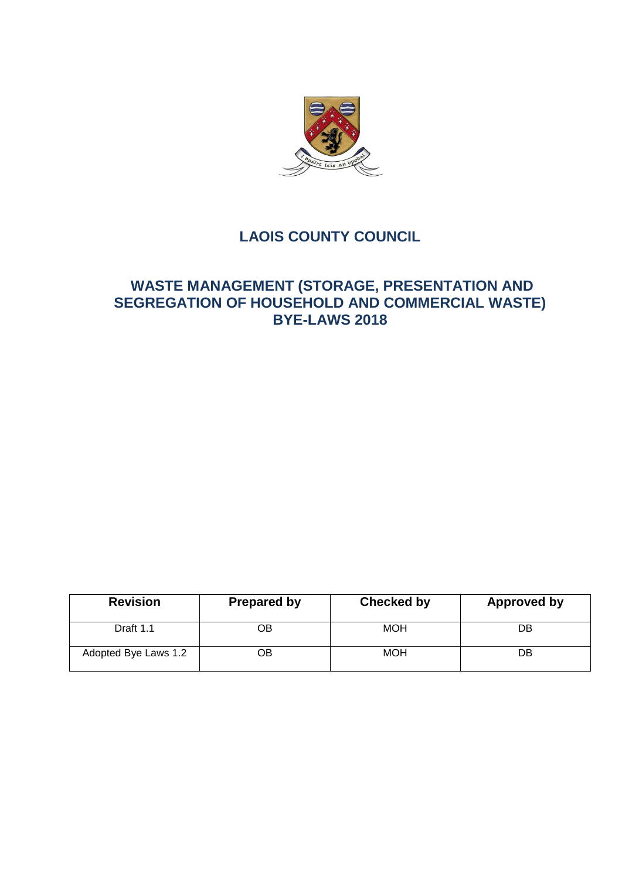

# **LAOIS COUNTY COUNCIL**

# **WASTE MANAGEMENT (STORAGE, PRESENTATION AND SEGREGATION OF HOUSEHOLD AND COMMERCIAL WASTE) BYE-LAWS 2018**

| <b>Revision</b>      | <b>Prepared by</b> | <b>Checked by</b> | Approved by |
|----------------------|--------------------|-------------------|-------------|
| Draft 1.1            | OΒ                 | <b>MOH</b>        | DB          |
| Adopted Bye Laws 1.2 | OВ                 | <b>MOH</b>        | DB          |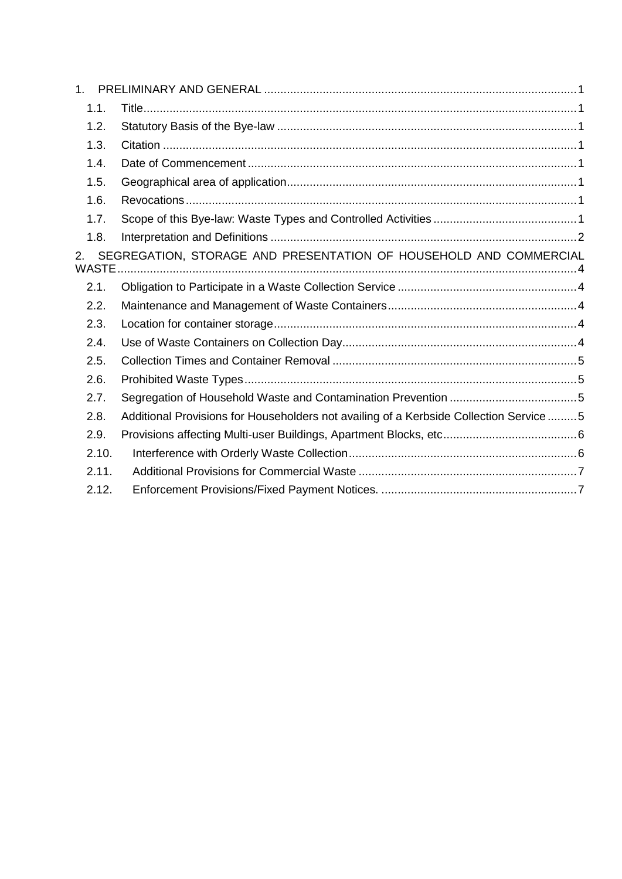| $1_{-}$            |                                                                                        |
|--------------------|----------------------------------------------------------------------------------------|
| 1.1.               |                                                                                        |
| 1.2.               |                                                                                        |
| 1.3.               |                                                                                        |
| 1.4.               |                                                                                        |
| 1.5.               |                                                                                        |
| 1.6.               |                                                                                        |
| 1.7.               |                                                                                        |
| 1.8.               |                                                                                        |
| 2.<br><b>WASTE</b> | SEGREGATION, STORAGE AND PRESENTATION OF HOUSEHOLD AND COMMERCIAL                      |
| 2.1.               |                                                                                        |
| 2.2.               |                                                                                        |
| 2.3.               |                                                                                        |
| 2.4.               |                                                                                        |
| 2.5.               |                                                                                        |
| 2.6.               |                                                                                        |
| 2.7.               |                                                                                        |
| 2.8.               | Additional Provisions for Householders not availing of a Kerbside Collection Service 5 |
| 2.9.               |                                                                                        |
| 2.10.              |                                                                                        |
| 2.11.              |                                                                                        |
| 2.12.              |                                                                                        |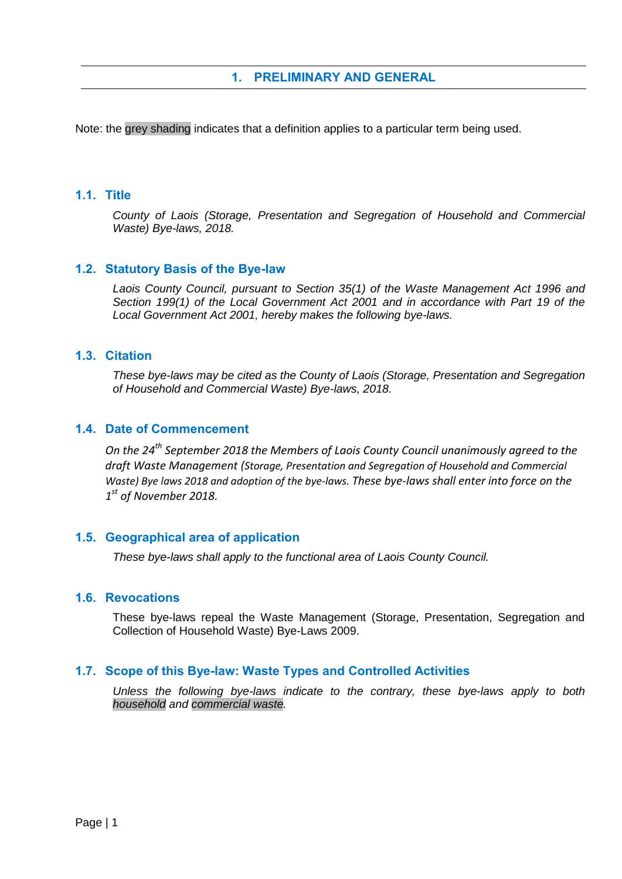# **1. PRELIMINARY AND GENERAL**

<span id="page-2-0"></span>Note: the grey shading indicates that a definition applies to a particular term being used.

## <span id="page-2-1"></span>**1.1. Title**

*County of Laois (Storage, Presentation and Segregation of Household and Commercial Waste) Bye-laws, 2018.*

### <span id="page-2-2"></span>**1.2. Statutory Basis of the Bye-law**

*Laois County Council, pursuant to Section 35(1) of the Waste Management Act 1996 and Section 199(1) of the Local Government Act 2001 and in accordance with Part 19 of the Local Government Act 2001, hereby makes the following bye-laws.*

### <span id="page-2-3"></span>**1.3. Citation**

*These bye-laws may be cited as the County of Laois (Storage, Presentation and Segregation of Household and Commercial Waste) Bye-laws, 2018.*

# <span id="page-2-4"></span>**1.4. Date of Commencement**

*On the 24 th September 2018 the Members of Laois County Council unanimously agreed to the draft Waste Management (Storage, Presentation and Segregation of Household and Commercial Waste) Bye laws 2018 and adoption of the bye-laws. These bye-laws shall enter into force on the 1 st of November 2018.*

### <span id="page-2-5"></span>**1.5. Geographical area of application**

*These bye-laws shall apply to the functional area of Laois County Council.* 

#### <span id="page-2-6"></span>**1.6. Revocations**

These bye-laws repeal the Waste Management (Storage, Presentation, Segregation and Collection of Household Waste) Bye-Laws 2009.

### <span id="page-2-7"></span>**1.7. Scope of this Bye-law: Waste Types and Controlled Activities**

*Unless the following bye-laws indicate to the contrary, these bye-laws apply to both household and commercial waste.*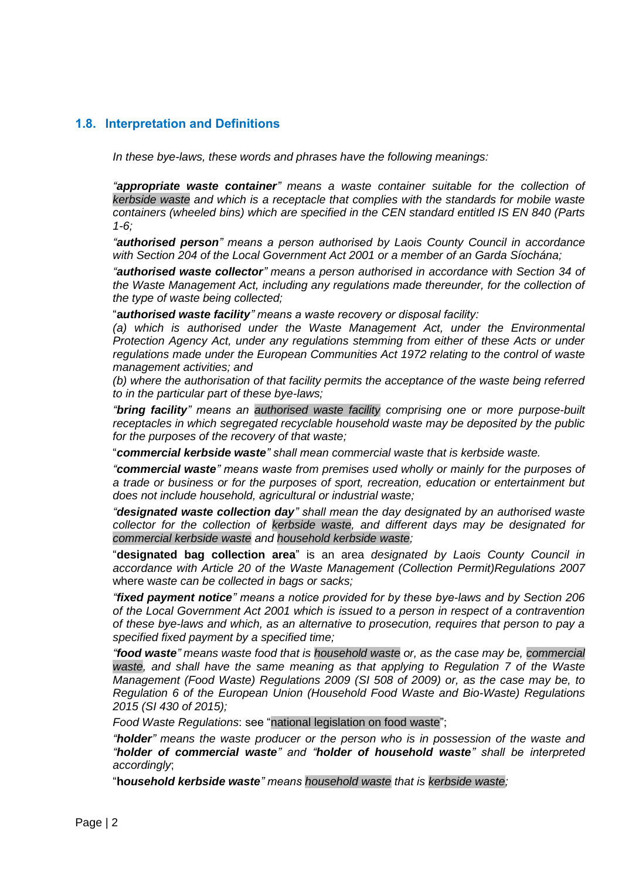## <span id="page-3-0"></span>**1.8. Interpretation and Definitions**

*In these bye-laws, these words and phrases have the following meanings:*

*"appropriate waste container" means a waste container suitable for the collection of kerbside waste and which is a receptacle that complies with the standards for mobile waste containers (wheeled bins) which are specified in the CEN standard entitled IS EN 840 (Parts 1-6;*

*"authorised person" means a person authorised by Laois County Council in accordance with Section 204 of the Local Government Act 2001 or a member of an Garda Síochána;*

*"authorised waste collector" means a person authorised in accordance with Section 34 of the Waste Management Act, including any regulations made thereunder, for the collection of the type of waste being collected;*

"**a***uthorised waste facility" means a waste recovery or disposal facility:*

(a) which is authorised under the Waste Management Act, under the Environmental *Protection Agency Act, under any regulations stemming from either of these Acts or under regulations made under the European Communities Act 1972 relating to the control of waste management activities; and* 

*(b) where the authorisation of that facility permits the acceptance of the waste being referred to in the particular part of these bye-laws;*

*"bring facility" means an authorised waste facility comprising one or more purpose-built receptacles in which segregated recyclable household waste may be deposited by the public for the purposes of the recovery of that waste;*

"*commercial kerbside waste" shall mean commercial waste that is kerbside waste.*

*"commercial waste" means waste from premises used wholly or mainly for the purposes of a trade or business or for the purposes of sport, recreation, education or entertainment but does not include household, agricultural or industrial waste;*

*"designated waste collection day" shall mean the day designated by an authorised waste collector for the collection of kerbside waste, and different days may be designated for commercial kerbside waste and household kerbside waste;*

"**designated bag collection area**" is an area *designated by Laois County Council in accordance with Article 20 of the Waste Management (Collection Permit)Regulations 2007*  where w*aste can be collected in bags or sacks;*

*"fixed payment notice" means a notice provided for by these bye-laws and by Section 206 of the Local Government Act 2001 which is issued to a person in respect of a contravention of these bye-laws and which, as an alternative to prosecution, requires that person to pay a specified fixed payment by a specified time;*

*"food waste" means waste food that is household waste or, as the case may be, commercial waste, and shall have the same meaning as that applying to Regulation 7 of the Waste Management (Food Waste) Regulations 2009 (SI 508 of 2009) or, as the case may be, to Regulation 6 of the European Union (Household Food Waste and Bio-Waste) Regulations 2015 (SI 430 of 2015);*

*Food Waste Regulations*: see "national legislation on food waste";

*"holder" means the waste producer or the person who is in possession of the waste and "holder of commercial waste" and "holder of household waste" shall be interpreted accordingly*;

"**h***ousehold kerbside waste" means household waste that is kerbside waste;*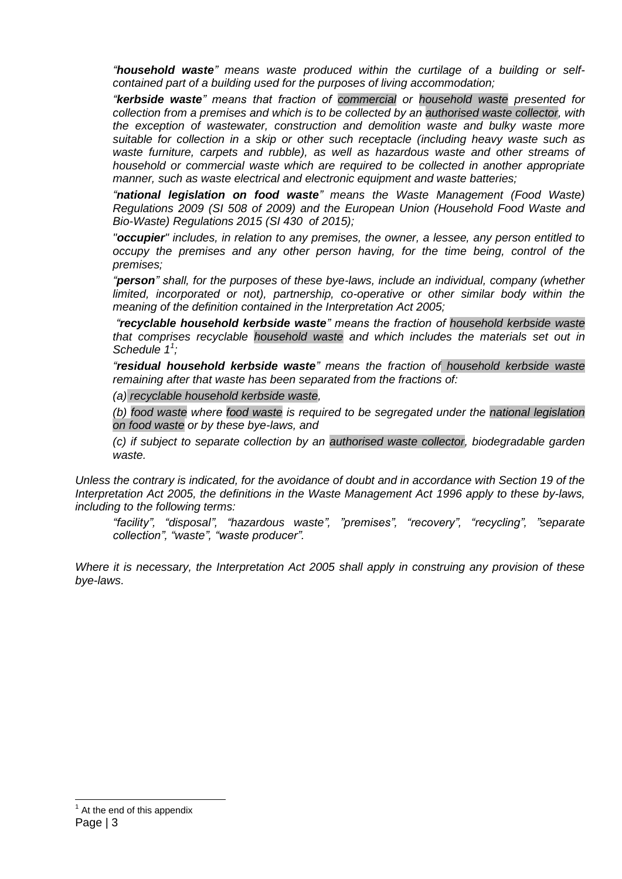*"household waste" means waste produced within the curtilage of a building or selfcontained part of a building used for the purposes of living accommodation;*

*"kerbside waste" means that fraction of commercial or household waste presented for collection from a premises and which is to be collected by an authorised waste collector, with the exception of wastewater, construction and demolition waste and bulky waste more suitable for collection in a skip or other such receptacle (including heavy waste such as waste furniture, carpets and rubble), as well as hazardous waste and other streams of household or commercial waste which are required to be collected in another appropriate manner, such as waste electrical and electronic equipment and waste batteries;*

*"national legislation on food waste" means the Waste Management (Food Waste) Regulations 2009 (SI 508 of 2009) and the European Union (Household Food Waste and Bio-Waste) Regulations 2015 (SI 430 of 2015);*

*"occupier" includes, in relation to any premises, the owner, a lessee, any person entitled to occupy the premises and any other person having, for the time being, control of the premises;*

*"person" shall, for the purposes of these bye-laws, include an individual, company (whether limited, incorporated or not), partnership, co-operative or other similar body within the meaning of the definition contained in the Interpretation Act 2005;* 

*"recyclable household kerbside waste" means the fraction of household kerbside waste that comprises recyclable household waste and which includes the materials set out in Schedule 1<sup>1</sup> ;*

*"residual household kerbside waste" means the fraction of household kerbside waste remaining after that waste has been separated from the fractions of:*

*(a) recyclable household kerbside waste,* 

*(b) food waste where food waste is required to be segregated under the national legislation on food waste or by these bye-laws, and* 

*(c) if subject to separate collection by an authorised waste collector, biodegradable garden waste.*

*Unless the contrary is indicated, for the avoidance of doubt and in accordance with Section 19 of the Interpretation Act 2005, the definitions in the Waste Management Act 1996 apply to these by-laws, including to the following terms:*

*"facility", "disposal", "hazardous waste", "premises", "recovery", "recycling", "separate collection", "waste", "waste producer".*

*Where it is necessary, the Interpretation Act 2005 shall apply in construing any provision of these bye-laws*.

-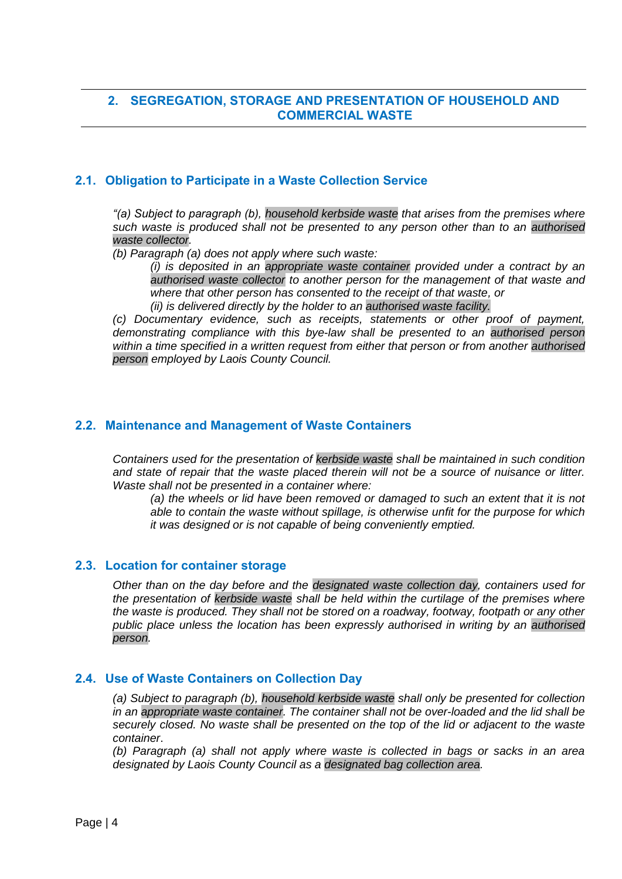# <span id="page-5-0"></span>**2. SEGREGATION, STORAGE AND PRESENTATION OF HOUSEHOLD AND COMMERCIAL WASTE**

## <span id="page-5-1"></span>**2.1. Obligation to Participate in a Waste Collection Service**

*"(a) Subject to paragraph (b), household kerbside waste that arises from the premises where such waste is produced shall not be presented to any person other than to an authorised waste collector.*

*(b) Paragraph (a) does not apply where such waste:*

*(i) is deposited in an appropriate waste container provided under a contract by an authorised waste collector to another person for the management of that waste and where that other person has consented to the receipt of that waste, or (ii) is delivered directly by the holder to an authorised waste facility.*

*(c) Documentary evidence, such as receipts, statements or other proof of payment, demonstrating compliance with this bye-law shall be presented to an authorised person within a time specified in a written request from either that person or from another authorised person employed by Laois County Council.*

### <span id="page-5-2"></span>**2.2. Maintenance and Management of Waste Containers**

*Containers used for the presentation of kerbside waste shall be maintained in such condition and state of repair that the waste placed therein will not be a source of nuisance or litter. Waste shall not be presented in a container where:*

*(a) the wheels or lid have been removed or damaged to such an extent that it is not able to contain the waste without spillage, is otherwise unfit for the purpose for which it was designed or is not capable of being conveniently emptied.*

#### <span id="page-5-3"></span>**2.3. Location for container storage**

*Other than on the day before and the designated waste collection day, containers used for the presentation of kerbside waste shall be held within the curtilage of the premises where the waste is produced. They shall not be stored on a roadway, footway, footpath or any other public place unless the location has been expressly authorised in writing by an authorised person.*

### <span id="page-5-4"></span>**2.4. Use of Waste Containers on Collection Day**

*(a) Subject to paragraph (b), household kerbside waste shall only be presented for collection in an appropriate waste container. The container shall not be over-loaded and the lid shall be securely closed. No waste shall be presented on the top of the lid or adjacent to the waste container*.

*(b) Paragraph (a) shall not apply where waste is collected in bags or sacks in an area designated by Laois County Council as a designated bag collection area.*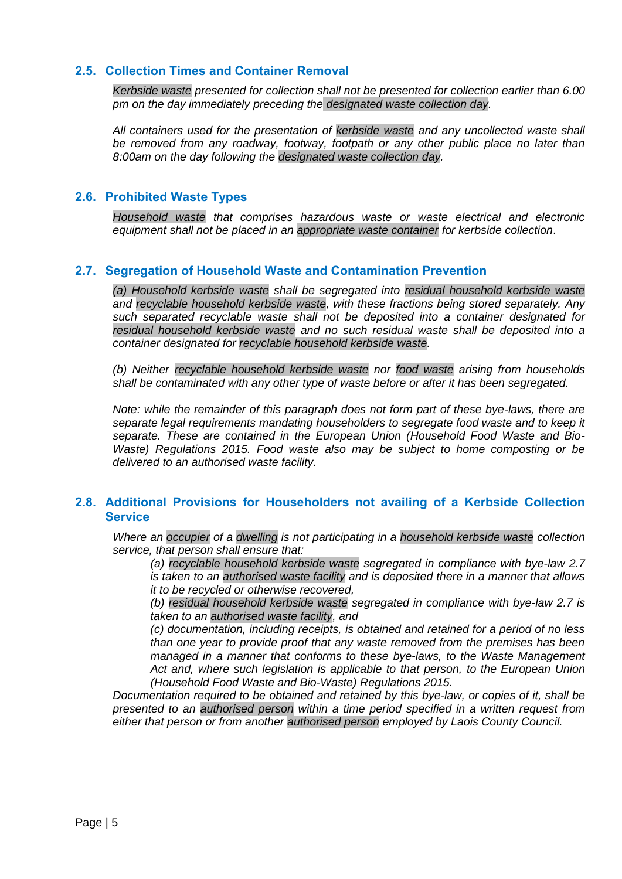## <span id="page-6-0"></span>**2.5. Collection Times and Container Removal**

*Kerbside waste presented for collection shall not be presented for collection earlier than 6.00 pm on the day immediately preceding the designated waste collection day.* 

*All containers used for the presentation of kerbside waste and any uncollected waste shall be removed from any roadway, footway, footpath or any other public place no later than 8:00am on the day following the designated waste collection day.*

#### <span id="page-6-1"></span>**2.6. Prohibited Waste Types**

*Household waste that comprises hazardous waste or waste electrical and electronic equipment shall not be placed in an appropriate waste container for kerbside collection*.

#### <span id="page-6-2"></span>**2.7. Segregation of Household Waste and Contamination Prevention**

*(a) Household kerbside waste shall be segregated into residual household kerbside waste and recyclable household kerbside waste, with these fractions being stored separately. Any such separated recyclable waste shall not be deposited into a container designated for residual household kerbside waste and no such residual waste shall be deposited into a container designated for recyclable household kerbside waste.*

*(b) Neither recyclable household kerbside waste nor food waste arising from households shall be contaminated with any other type of waste before or after it has been segregated.* 

*Note: while the remainder of this paragraph does not form part of these bye-laws, there are separate legal requirements mandating householders to segregate food waste and to keep it separate. These are contained in the European Union (Household Food Waste and Bio-Waste)* Regulations 2015. Food waste also may be subject to home composting or be *delivered to an authorised waste facility.*

## <span id="page-6-3"></span>**2.8. Additional Provisions for Householders not availing of a Kerbside Collection Service**

*Where an occupier of a dwelling is not participating in a household kerbside waste collection service, that person shall ensure that:*

*(a) recyclable household kerbside waste segregated in compliance with bye-law 2.7 is taken to an authorised waste facility and is deposited there in a manner that allows it to be recycled or otherwise recovered,* 

*(b) residual household kerbside waste segregated in compliance with bye-law 2.7 is taken to an authorised waste facility, and*

*(c) documentation, including receipts, is obtained and retained for a period of no less than one year to provide proof that any waste removed from the premises has been managed in a manner that conforms to these bye-laws, to the Waste Management Act and, where such legislation is applicable to that person, to the European Union (Household Food Waste and Bio-Waste) Regulations 2015.* 

*Documentation required to be obtained and retained by this bye-law, or copies of it, shall be presented to an authorised person within a time period specified in a written request from either that person or from another authorised person employed by Laois County Council.*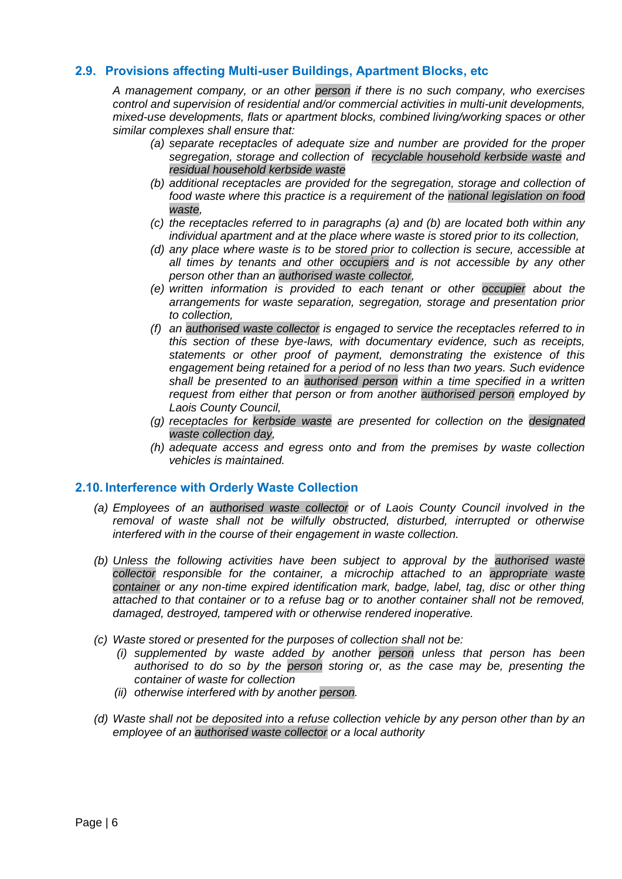## <span id="page-7-0"></span>**2.9. Provisions affecting Multi-user Buildings, Apartment Blocks, etc**

*A management company, or an other person if there is no such company, who exercises control and supervision of residential and/or commercial activities in multi-unit developments, mixed-use developments, flats or apartment blocks, combined living/working spaces or other similar complexes shall ensure that:*

- *(a) separate receptacles of adequate size and number are provided for the proper segregation, storage and collection of recyclable household kerbside waste and residual household kerbside waste*
- *(b) additional receptacles are provided for the segregation, storage and collection of food waste where this practice is a requirement of the national legislation on food waste,*
- *(c) the receptacles referred to in paragraphs (a) and (b) are located both within any individual apartment and at the place where waste is stored prior to its collection,*
- *(d) any place where waste is to be stored prior to collection is secure, accessible at all times by tenants and other occupiers and is not accessible by any other person other than an authorised waste collector,*
- *(e) written information is provided to each tenant or other occupier about the arrangements for waste separation, segregation, storage and presentation prior to collection,*
- *(f) an authorised waste collector is engaged to service the receptacles referred to in this section of these bye-laws, with documentary evidence, such as receipts, statements or other proof of payment, demonstrating the existence of this engagement being retained for a period of no less than two years. Such evidence shall be presented to an authorised person within a time specified in a written request from either that person or from another authorised person employed by Laois County Council,*
- *(g) receptacles for kerbside waste are presented for collection on the designated waste collection day,*
- *(h) adequate access and egress onto and from the premises by waste collection vehicles is maintained.*

### <span id="page-7-1"></span>**2.10. Interference with Orderly Waste Collection**

- *(a) Employees of an authorised waste collector or of Laois County Council involved in the removal of waste shall not be wilfully obstructed, disturbed, interrupted or otherwise interfered with in the course of their engagement in waste collection.*
- *(b) Unless the following activities have been subject to approval by the authorised waste collector responsible for the container, a microchip attached to an appropriate waste container or any non-time expired identification mark, badge, label, tag, disc or other thing attached to that container or to a refuse bag or to another container shall not be removed, damaged, destroyed, tampered with or otherwise rendered inoperative.*
- *(c) Waste stored or presented for the purposes of collection shall not be:*
	- *(i) supplemented by waste added by another person unless that person has been authorised to do so by the person storing or, as the case may be, presenting the container of waste for collection*
	- *(ii) otherwise interfered with by another person.*
- *(d) Waste shall not be deposited into a refuse collection vehicle by any person other than by an employee of an authorised waste collector or a local authority*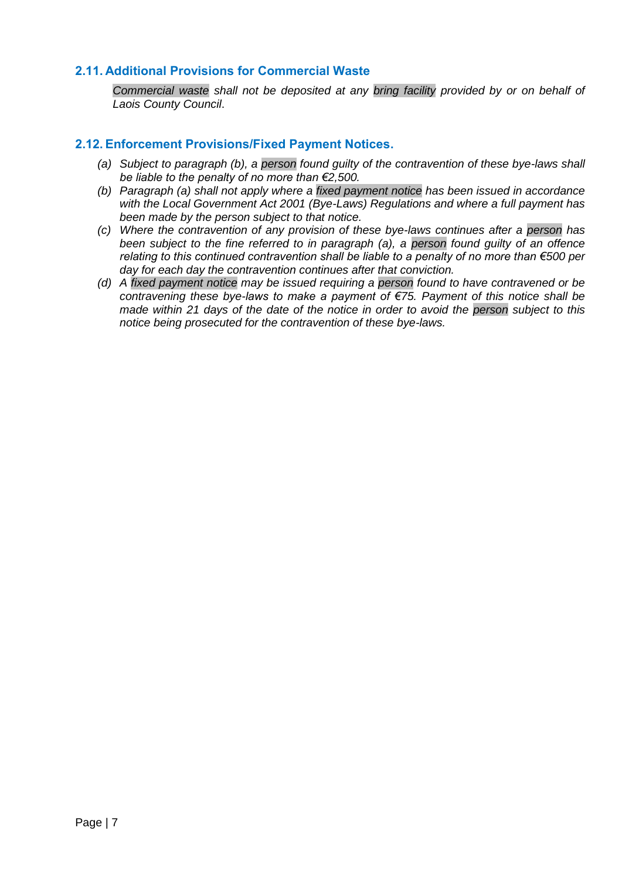## <span id="page-8-0"></span>**2.11. Additional Provisions for Commercial Waste**

*Commercial waste shall not be deposited at any bring facility provided by or on behalf of Laois County Council*.

#### <span id="page-8-1"></span>**2.12. Enforcement Provisions/Fixed Payment Notices.**

- *(a) Subject to paragraph (b), a person found guilty of the contravention of these bye-laws shall be liable to the penalty of no more than €2,500.*
- *(b) Paragraph (a) shall not apply where a fixed payment notice has been issued in accordance with the Local Government Act 2001 (Bye-Laws) Regulations and where a full payment has been made by the person subject to that notice.*
- *(c) Where the contravention of any provision of these bye-laws continues after a person has been subject to the fine referred to in paragraph (a), a person found guilty of an offence relating to this continued contravention shall be liable to a penalty of no more than €500 per day for each day the contravention continues after that conviction.*
- *(d) A fixed payment notice may be issued requiring a person found to have contravened or be contravening these bye-laws to make a payment of €75. Payment of this notice shall be made within 21 days of the date of the notice in order to avoid the person subject to this notice being prosecuted for the contravention of these bye-laws.*